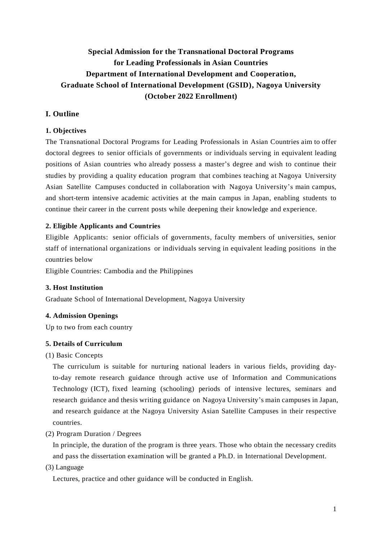# **Special Admission for the Transnational Doctoral Programs for Leading Professionals in Asian Countries Department of International Development and Cooperation, Graduate School of International Development (GSID), Nagoya University (October 2022 Enrollment)**

# **I. Outline**

# **1. Objectives**

The Transnational Doctoral Programs for Leading Professionals in Asian Countries aim to offer doctoral degrees to senior officials of governments or individuals serving in equivalent leading positions of Asian countries who already possess a master's degree and wish to continue their studies by providing a quality education program that combines teaching at Nagoya University Asian Satellite Campuses conducted in collaboration with Nagoya University's main campus, and short-term intensive academic activities at the main campus in Japan, enabling students to continue their career in the current posts while deepening their knowledge and experience.

# **2. Eligible Applicants and Countries**

Eligible Applicants: senior officials of governments, faculty members of universities, senior staff of international organizations or individuals serving in equivalent leading positions in the countries below

Eligible Countries: Cambodia and the Philippines

#### **3. Host Institution**

Graduate School of International Development, Nagoya University

#### **4. Admission Openings**

Up to two from each country

#### **5. Details of Curriculum**

(1) Basic Concepts

The curriculum is suitable for nurturing national leaders in various fields, providing dayto-day remote research guidance through active use of Information and Communications Technology (ICT), fixed learning (schooling) periods of intensive lectures, seminars and research guidance and thesis writing guidance on Nagoya University's main campuses in Japan, and research guidance at the Nagoya University Asian Satellite Campuses in their respective countries.

(2) Program Duration / Degrees

In principle, the duration of the program is three years. Those who obtain the necessary credits and pass the dissertation examination will be granted a Ph.D. in International Development.

(3) Language

Lectures, practice and other guidance will be conducted in English.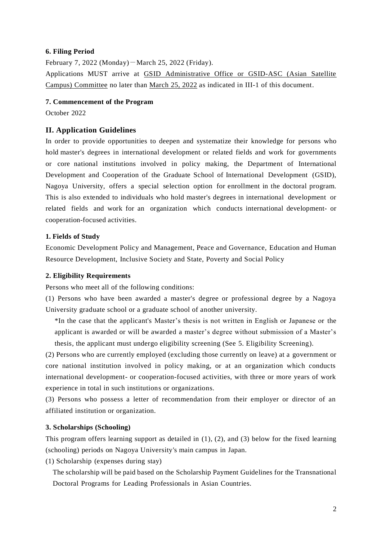#### **6. Filing Period**

February 7, 2022 (Monday)-March 25, 2022 (Friday).

Applications MUST arrive at GSID Administrative Office or GSID-ASC (Asian Satellite Campus) Committee no later than March 25, 2022 as indicated in III-1 of this document.

#### **7. Commencement of the Program**

October 2022

#### **II. Application Guidelines**

In order to provide opportunities to deepen and systematize their knowledge for persons who hold master's degrees in international development or related fields and work for governments or core national institutions involved in policy making, the Department of International Development and Cooperation of the Graduate School of International Development (GSID), Nagoya University, offers a special selection option for enrollment in the doctoral program. This is also extended to individuals who hold master's degrees in international development or related fields and work for an organization which conducts international development- or cooperation-focused activities.

#### **1. Fields of Study**

Economic Development Policy and Management, Peace and Governance, Education and Human Resource Development, Inclusive Society and State, Poverty and Social Policy

#### **2. Eligibility Requirements**

Persons who meet all of the following conditions:

(1) Persons who have been awarded a master's degree or professional degree by a Nagoya University graduate school or a graduate school of another university.

\*In the case that the applicant's Master's thesis is not written in English or Japanese or the applicant is awarded or will be awarded a master's degree without submission of a Master's thesis, the applicant must undergo eligibility screening (See 5. Eligibility Screening).

(2) Persons who are currently employed (excluding those currently on leave) at a government or core national institution involved in policy making, or at an organization which conducts international development- or cooperation-focused activities, with three or more years of work experience in total in such institutions or organizations.

(3) Persons who possess a letter of recommendation from their employer or director of an affiliated institution or organization.

#### **3. Scholarships (Schooling)**

This program offers learning support as detailed in  $(1)$ ,  $(2)$ , and  $(3)$  below for the fixed learning (schooling) periods on Nagoya University's main campus in Japan.

(1) Scholarship (expenses during stay)

The scholarship will be paid based on the Scholarship Payment Guidelines for the Transnational Doctoral Programs for Leading Professionals in Asian Countries.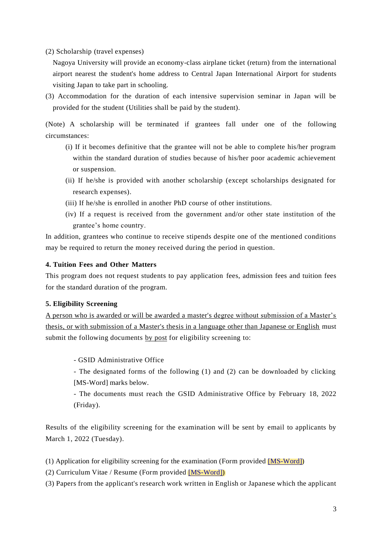(2) Scholarship (travel expenses)

Nagoya University will provide an economy-class airplane ticket (return) from the international airport nearest the student's home address to Central Japan International Airport for students visiting Japan to take part in schooling.

(3) Accommodation for the duration of each intensive supervision seminar in Japan will be provided for the student (Utilities shall be paid by the student).

(Note) A scholarship will be terminated if grantees fall under one of the following circumstances:

- (i) If it becomes definitive that the grantee will not be able to complete his/her program within the standard duration of studies because of his/her poor academic achievement or suspension.
- (ii) If he/she is provided with another scholarship (except scholarships designated for research expenses).
- (iii) If he/she is enrolled in another PhD course of other institutions.
- (iv) If a request is received from the government and/or other state institution of the grantee's home country.

In addition, grantees who continue to receive stipends despite one of the mentioned conditions may be required to return the money received during the period in question.

# **4. Tuition Fees and Other Matters**

This program does not request students to pay application fees, admission fees and tuition fees for the standard duration of the program.

# **5. Eligibility Screening**

A person who is awarded or will be awarded a master's degree without submission of a Master's thesis, or with submission of a Master's thesis in a language other than Japanese or English must submit the following documents by post for eligibility screening to:

- GSID Administrative Office

- The designated forms of the following (1) and (2) can be downloaded by clicking [\[MS-Wo](http://www.gsid.nagoya-u.ac.jp/global/application/asian-professional_application%20form_2016_fall.doc)rd] marks below.

- The documents must reach the GSID Administrative Office by February 18, 2022 (Friday).

Results of the eligibility screening for the examination will be sent by email to applicants by March 1, 2022 (Tuesday).

(1) Application for eligibility screening for the examination (Form provided [\[MS-Word\]\)](https://www4.gsid.nagoya-u.ac.jp/_wp/wp-content/uploads/2021/12/asc_application_form_for_eligibility_screening_2022_fall.doc)

(2) Curriculum Vitae / Resume (Form provided [\[MS-Word\]\)](https://www4.gsid.nagoya-u.ac.jp/_wp/wp-content/uploads/2021/12/asc_curriculum_vitae_2022_fall.doc)

(3) Papers from the applicant's research work written in English or Japanese which the applicant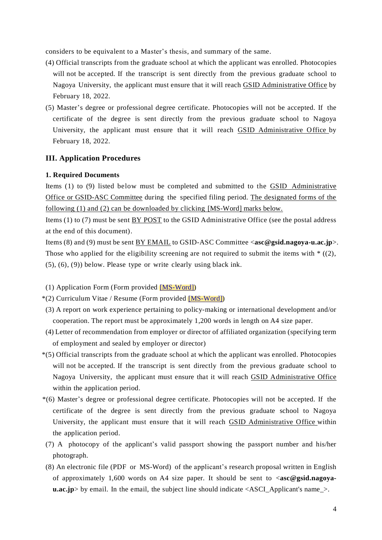considers to be equivalent to a Master's thesis, and summary of the same.

- (4) Official transcripts from the graduate school at which the applicant was enrolled. Photocopies will not be accepted. If the transcript is sent directly from the previous graduate school to Nagoya University, the applicant must ensure that it will reach GSID Administrative Office by February 18, 2022.
- (5) Master's degree or professional degree certificate. Photocopies will not be accepted. If the certificate of the degree is sent directly from the previous graduate school to Nagoya University, the applicant must ensure that it will reach GSID Administrative Office by February 18, 2022.

#### **III. Application Procedures**

#### **1. Required Documents**

Items (1) to (9) listed below must be completed and submitted to the GSID Administrative Office or GSID-ASC Committee during the specified filing period. The designated forms of the following (1) and (2) can be downloaded by clicking [\[MS-Wo](http://www.gsid.nagoya-u.ac.jp/global/application/asian-professional_application%20form_2016_fall.doc)rd] marks below.

Items (1) to (7) must be sent BY POST to the GSID Administrative Office (see the postal address at the end of this document).

Items (8) and (9) must be sent BY EMAIL to GSID-ASC Committee <**asc@gsid.nagoya-u.ac.jp**>. Those who applied for the eligibility screening are not required to submit the items with  $*(2)$ , (5), (6), (9)) below. Please type or write clearly using black ink.

(1) Application Form (Form provided [\[MS-Word\]](https://www4.gsid.nagoya-u.ac.jp/_wp/wp-content/uploads/2021/12/asc_application_form_2022_fall.doc))

\*(2) Curriculum Vitae / Resume (Form provided [\[MS-Word\]\)](https://www4.gsid.nagoya-u.ac.jp/_wp/wp-content/uploads/2021/12/asc_curriculum_vitae_2022_fall.doc)

- (3) A report on work experience pertaining to policy-making or international development and/or cooperation. The report must be approximately 1,200 words in length on A4 size paper.
- (4) Letter of recommendation from employer or director of affiliated organization (specifying term of employment and sealed by employer or director)
- \*(5) Official transcripts from the graduate school at which the applicant was enrolled. Photocopies will not be accepted. If the transcript is sent directly from the previous graduate school to Nagoya University, the applicant must ensure that it will reach GSID Administrative Office within the application period.
- \*(6) Master's degree or professional degree certificate. Photocopies will not be accepted. If the certificate of the degree is sent directly from the previous graduate school to Nagoya University, the applicant must ensure that it will reach GSID Administrative Office within the application period.
- (7) A photocopy of the applicant's valid passport showing the passport number and his/her photograph.
- (8) An electronic file (PDF or MS-Word) of the applicant's research proposal written in English of approximately 1,600 words on A4 size paper. It should be sent to <**asc@gsid.nagoyau.ac.jp**> by email. In the email, the subject line should indicate  $\langle ASCII$  Applicant's name  $\rangle$ .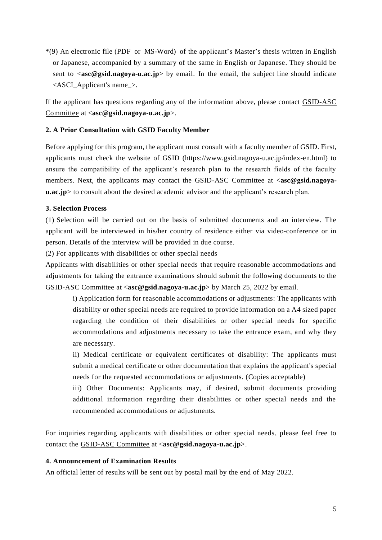\*(9) An electronic file (PDF or MS-Word) of the applicant's Master's thesis written in English or Japanese, accompanied by a summary of the same in English or Japanese. They should be sent to <**asc@gsid.nagoya-u.ac.jp**> by email. In the email, the subject line should indicate <ASCI\_Applicant's name\_>.

If the applicant has questions regarding any of the information above, please contact GSID-ASC Committee at <**asc@gsid.nagoya-u.ac.jp**>.

# **2. A Prior Consultation with GSID Faculty Member**

Before applying for this program, the applicant must consult with a faculty member of GSID. First, applicants must check the website of GSID (https://www.gsid.nagoya-u.ac.jp/index-en.html) to ensure the compatibility of the applicant's research plan to the research fields of the faculty members. Next, the applicants may contact the GSID-ASC Committee at <**asc@gsid.nagoyau.ac.jp**> to consult about the desired academic advisor and the applicant's research plan.

#### **3. Selection Process**

(1) Selection will be carried out on the basis of submitted documents and an interview. The applicant will be interviewed in his/her country of residence either via video-conference or in person. Details of the interview will be provided in due course.

(2) For applicants with disabilities or other special needs

Applicants with disabilities or other special needs that require reasonable accommodations and adjustments for taking the entrance examinations should submit the following documents to the GSID-ASC Committee at <**asc@gsid.nagoya-u.ac.jp**> by March 25, 2022 by email.

i) Application form for reasonable accommodations or adjustments: The applicants with disability or other special needs are required to provide information on a A4 sized paper regarding the condition of their disabilities or other special needs for specific accommodations and adjustments necessary to take the entrance exam, and why they are necessary.

ii) Medical certificate or equivalent certificates of disability: The applicants must submit a medical certificate or other documentation that explains the applicant's special needs for the requested accommodations or adjustments. (Copies acceptable)

iii) Other Documents: Applicants may, if desired, submit documents providing additional information regarding their disabilities or other special needs and the recommended accommodations or adjustments.

For inquiries regarding applicants with disabilities or other special needs, please feel free to contact the GSID-ASC Committee at <**asc@gsid.nagoya-u.ac.jp**>.

#### **4. Announcement of Examination Results**

An official letter of results will be sent out by postal mail by the end of May 2022.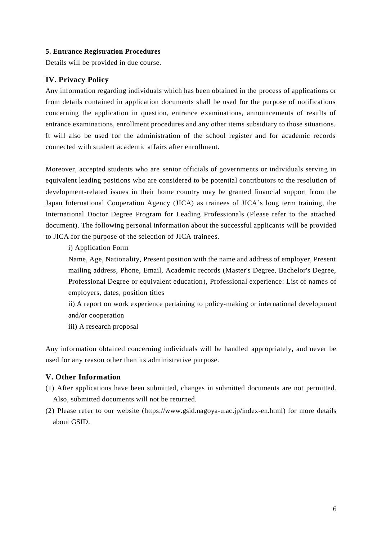#### **5. Entrance Registration Procedures**

Details will be provided in due course.

# **IV. Privacy Policy**

Any information regarding individuals which has been obtained in the process of applications or from details contained in application documents shall be used for the purpose of notifications concerning the application in question, entrance examinations, announcements of results of entrance examinations, enrollment procedures and any other items subsidiary to those situations. It will also be used for the administration of the school register and for academic records connected with student academic affairs after enrollment.

Moreover, accepted students who are senior officials of governments or individuals serving in equivalent leading positions who are considered to be potential contributors to the resolution of development-related issues in their home country may be granted financial support from the Japan International Cooperation Agency (JICA) as trainees of JICA's long term training, the International Doctor Degree Program for Leading Professionals (Please refer to the attached document). The following personal information about the successful applicants will be provided to JICA for the purpose of the selection of JICA trainees.

i) Application Form

Name, Age, Nationality, Present position with the name and address of employer, Present mailing address, Phone, Email, Academic records (Master's Degree, Bachelor's Degree, Professional Degree or equivalent education), Professional experience: List of names of employers, dates, position titles

ii) A report on work experience pertaining to policy-making or international development and/or cooperation

iii) A research proposal

Any information obtained concerning individuals will be handled appropriately, and never be used for any reason other than its administrative purpose.

# **V. Other Information**

- (1) After applications have been submitted, changes in submitted documents are not permitted. Also, submitted documents will not be returned.
- (2) Please refer to our website (https://www.gsid.nagoya-u.ac.jp/index-en.html) for more details about GSID.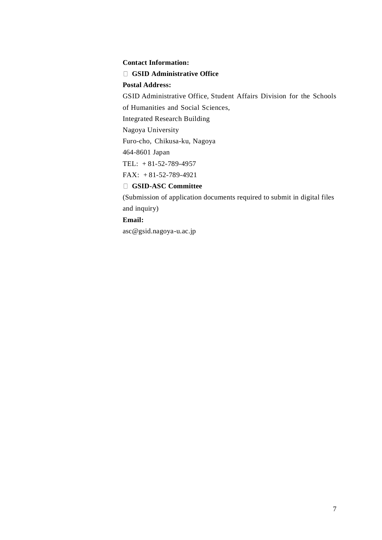#### **Contact Information:**

# **GSID Administrative Office**

# **Postal Address:**

GSID Administrative Office, Student Affairs Division for the Schools

of Humanities and Social Sciences,

Integrated Research Building

Nagoya University

Furo-cho, Chikusa-ku, Nagoya

464-8601 Japan

TEL: + 81-52-789-4957

FAX: + 81-52-789-4921

# **GSID-ASC Committee**

(Submission of application documents required to submit in digital files and inquiry)

# **Email:**

asc@gsid.nagoya-u.ac.jp